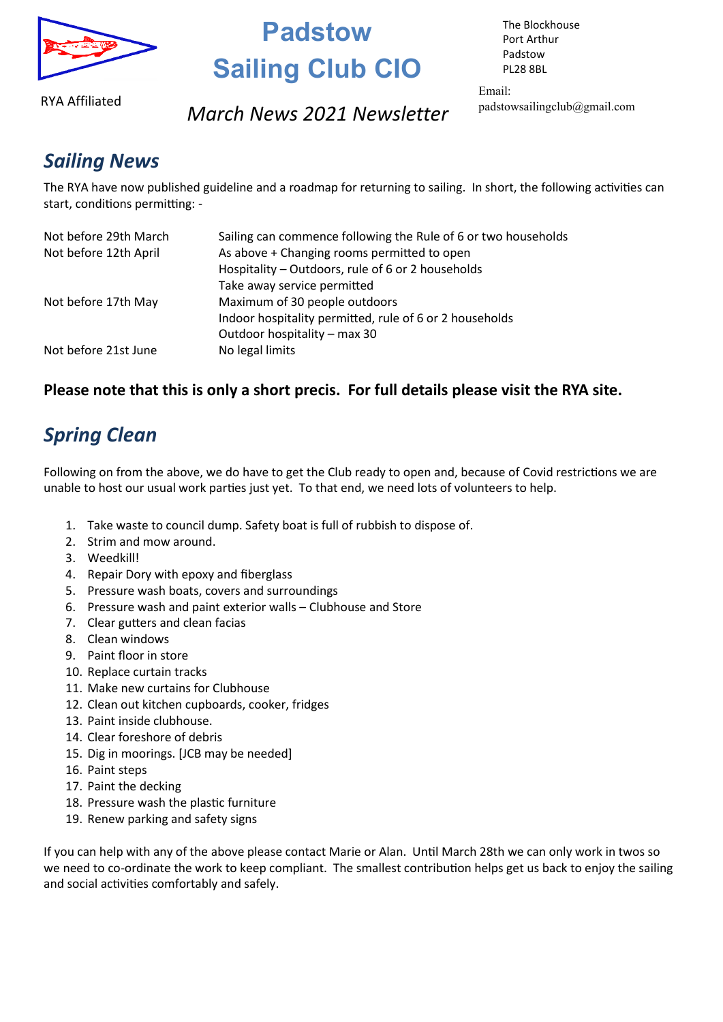

# **Padstow Sailing Club CIO**

RYA Affiliated

#### **www.padstowsailingclub.org.uk** *March News 2021 Newsletter*

The Blockhouse Port Arthur Padstow PL28 8BL

Email: padstowsailingclub@gmail.com

### *Sailing News*

The RYA have now published guideline and a roadmap for returning to sailing. In short, the following activities can start, conditions permitting: -

| Not before 29th March | Sailing can commence following the Rule of 6 or two households |
|-----------------------|----------------------------------------------------------------|
| Not before 12th April | As above + Changing rooms permitted to open                    |
|                       | Hospitality - Outdoors, rule of 6 or 2 households              |
|                       | Take away service permitted                                    |
| Not before 17th May   | Maximum of 30 people outdoors                                  |
|                       | Indoor hospitality permitted, rule of 6 or 2 households        |
|                       | Outdoor hospitality - max 30                                   |
| Not before 21st June  | No legal limits                                                |

#### **Please note that this is only a short precis. For full details please visit the RYA site.**

## *Spring Clean*

Following on from the above, we do have to get the Club ready to open and, because of Covid restrictions we are unable to host our usual work parties just yet. To that end, we need lots of volunteers to help.

- 1. Take waste to council dump. Safety boat is full of rubbish to dispose of.
- 2. Strim and mow around.
- 3. Weedkill!
- 4. Repair Dory with epoxy and fiberglass
- 5. Pressure wash boats, covers and surroundings
- 6. Pressure wash and paint exterior walls Clubhouse and Store
- 7. Clear gutters and clean facias
- 8. Clean windows
- 9. Paint floor in store
- 10. Replace curtain tracks
- 11. Make new curtains for Clubhouse
- 12. Clean out kitchen cupboards, cooker, fridges
- 13. Paint inside clubhouse.
- 14. Clear foreshore of debris
- 15. Dig in moorings. [JCB may be needed]
- 16. Paint steps
- 17. Paint the decking
- 18. Pressure wash the plastic furniture
- 19. Renew parking and safety signs

If you can help with any of the above please contact Marie or Alan. Until March 28th we can only work in twos so we need to co-ordinate the work to keep compliant. The smallest contribution helps get us back to enjoy the sailing and social activities comfortably and safely.